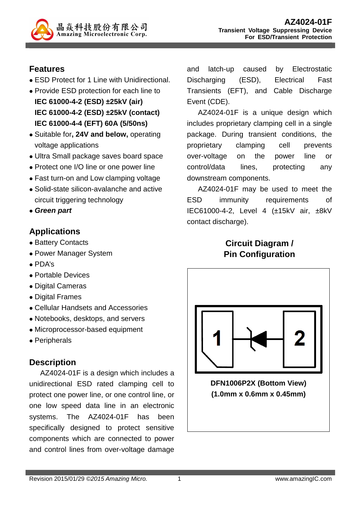

## **Features**

- ESD Protect for 1 Line with Unidirectional.
- Provide ESD protection for each line to **IEC 61000-4-2 (ESD) ±25kV (air) IEC 61000-4-2 (ESD) ±25kV (contact) IEC 61000-4-4 (EFT) 60A (5/50ns)**
- Suitable for**, 24V and below,** operating voltage applications
- Ultra Small package saves board space
- Protect one I/O line or one power line
- Fast turn-on and Low clamping voltage
- Solid-state silicon-avalanche and active circuit triggering technology
- **Green part**

## **Applications**

- Battery Contacts
- Power Manager System
- PDA's
- Portable Devices
- Digital Cameras
- Digital Frames
- Cellular Handsets and Accessories
- Notebooks, desktops, and servers
- Microprocessor-based equipment
- Peripherals

# **Description**

AZ4024-01F is a design which includes a unidirectional ESD rated clamping cell to protect one power line, or one control line, or one low speed data line in an electronic systems. The AZ4024-01F has been specifically designed to protect sensitive components which are connected to power and control lines from over-voltage damage

and latch-up caused by Electrostatic Discharging (ESD), Electrical Fast Transients (EFT), and Cable Discharge Event (CDE).

AZ4024-01F is a unique design which includes proprietary clamping cell in a single package. During transient conditions, the proprietary clamping cell prevents over-voltage on the power line or control/data lines, protecting any downstream components.

AZ4024-01F may be used to meet the ESD immunity requirements of IEC61000-4-2, Level 4 (±15kV air, ±8kV contact discharge).

# **Circuit Diagram / Pin Configuration**



**DFN1006P2X (Bottom View) (1.0mm x 0.6mm x 0.45mm)**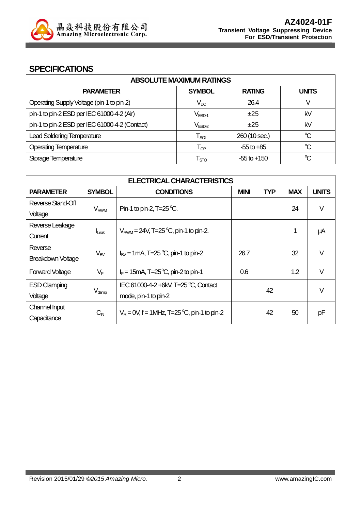

#### **SPECIFICATIONS**

| <b>ABSOLUTE MAXIMUM RATINGS</b>                |                              |                 |              |
|------------------------------------------------|------------------------------|-----------------|--------------|
| <b>PARAMETER</b>                               | <b>SYMBOL</b>                | <b>RATING</b>   | <b>UNITS</b> |
| Operating Supply Voltage (pin-1 to pin-2)      | $V_{DC}$                     | 26.4            | V            |
| pin-1 to pin-2 ESD per IEC 61000-4-2 (Air)     | $V_{ESD-1}$                  | $\pm 25$        | kV           |
| pin-1 to pin-2 ESD per IEC 61000-4-2 (Contact) | $\mathsf{V}_{\mathsf{ESD}2}$ | $\pm 25$        | kV           |
| <b>Lead Soldering Temperature</b>              | $\mathsf{T}_{\mathsf{SOL}}$  | 260 (10 sec.)   | °C           |
| <b>Operating Temperature</b>                   | $\mathsf{T}_{\mathsf{QP}}$   | $-55$ to $+85$  | °C           |
| Storage Temperature                            | $\mathsf{T}_{\text{STO}}$    | $-55$ to $+150$ | $\mathrm{C}$ |

| <b>ELECTRICAL CHARACTERISTICS</b> |                        |                                                   |            |            |              |        |
|-----------------------------------|------------------------|---------------------------------------------------|------------|------------|--------------|--------|
| <b>PARAMETER</b>                  | <b>SYMBOL</b>          | <b>CONDITIONS</b>                                 | <b>TYP</b> | <b>MAX</b> | <b>UNITS</b> |        |
| Reverse Stand-Off                 | <b>V<sub>RWM</sub></b> | Pin-1 to pin-2, $T=25^{\circ}C$ .                 |            |            | 24           | $\vee$ |
| Voltage                           |                        |                                                   |            |            |              |        |
| Reverse Leakage                   |                        | $V_{\text{RWM}} = 24V$ , T=25 °C, pin-1 to pin-2. |            |            |              |        |
| Current                           | $I_{\text{L}eak}$      |                                                   |            |            |              | μA     |
| Reverse                           | $V_{BV}$               | $I_{\text{BV}}$ = 1 mA, T=25 °C, pin-1 to pin-2   | 26.7       |            | 32           | $\vee$ |
| <b>Breakdown Voltage</b>          |                        |                                                   |            |            |              |        |
| <b>Forward Voltage</b>            | $V_F$                  | $I_F$ = 15mA, T=25 <sup>o</sup> C, pin-2 to pin-1 | 0.6        |            | 1.2          | $\vee$ |
| <b>ESD Clamping</b>               |                        | IEC 61000-4-2 +6kV, T=25 °C, Contact              | 42         |            |              | $\vee$ |
| Voltage                           | $V_{\text{damp}}$      | mode, pin-1 to pin-2                              |            |            |              |        |
| Channel Input                     |                        | $V_R = 0V$ , f = 1MHz, T=25 °C, pin-1 to pin-2    |            | 42         |              |        |
| Capacitance                       | $C_{\mathsf{IN}}$      |                                                   |            |            | 50           | рF     |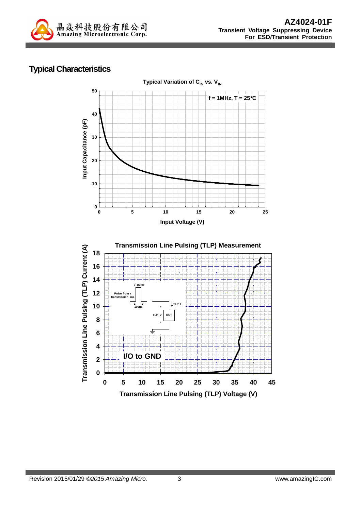

### **Typical Characteristics**

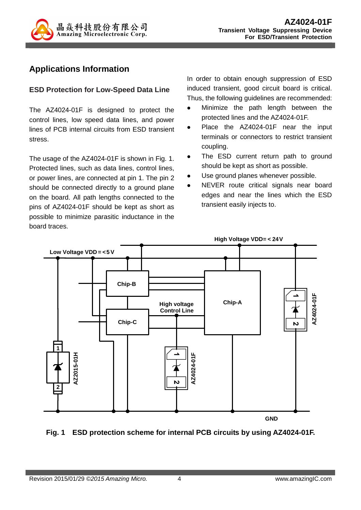

### **Applications Information**

#### **ESD Protection for Low-Speed Data Line**

The AZ4024-01F is designed to protect the control lines, low speed data lines, and power lines of PCB internal circuits from ESD transient stress.

The usage of the AZ4024-01F is shown in Fig. 1. Protected lines, such as data lines, control lines, or power lines, are connected at pin 1. The pin 2 should be connected directly to a ground plane on the board. All path lengths connected to the pins of AZ4024-01F should be kept as short as possible to minimize parasitic inductance in the board traces.

In order to obtain enough suppression of ESD induced transient, good circuit board is critical. Thus, the following guidelines are recommended:

- Minimize the path length between the protected lines and the AZ4024-01F.
- Place the AZ4024-01F near the input terminals or connectors to restrict transient coupling.
- The ESD current return path to ground should be kept as short as possible.
- Use ground planes whenever possible.
- NEVER route critical signals near board edges and near the lines which the ESD transient easily injects to.



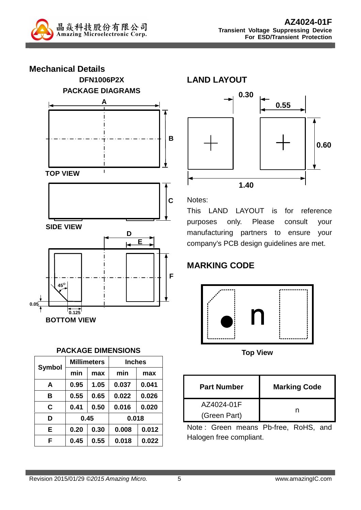



#### **PACKAGE DIMENSIONS**

|               |      | <b>Millimeters</b><br><b>Inches</b> |       |       |
|---------------|------|-------------------------------------|-------|-------|
| <b>Symbol</b> | min  | max                                 | min   | max   |
| A             | 0.95 | 1.05                                | 0.037 | 0.041 |
| в             | 0.55 | 0.65                                | 0.022 | 0.026 |
| C             | 0.41 | 0.50                                | 0.016 | 0.020 |
| D             | 0.45 |                                     | 0.018 |       |
| Е             | 0.20 | 0.30                                | 0.008 | 0.012 |
| F             | 0.45 | 0.55                                | 0.018 | 0.022 |

**LAND LAYOUT**



Notes:

This LAND LAYOUT is for reference purposes only. Please consult your manufacturing partners to ensure your company's PCB design guidelines are met.

# **MARKING CODE**



**Top View** 

| <b>Part Number</b> | <b>Marking Code</b> |  |
|--------------------|---------------------|--|
| AZ4024-01F         |                     |  |
| (Green Part)       |                     |  |

Note : Green means Pb-free, RoHS, and Halogen free compliant.